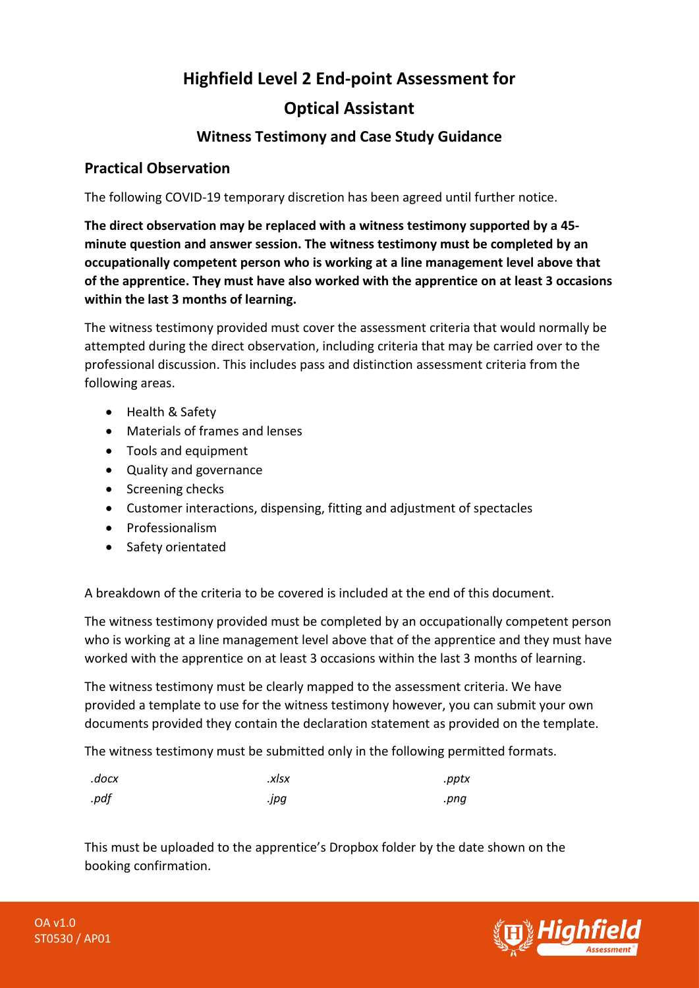# **Highfield Level 2 End-point Assessment for Optical Assistant**

## **Witness Testimony and Case Study Guidance**

### **Practical Observation**

The following COVID-19 temporary discretion has been agreed until further notice.

**The direct observation may be replaced with a witness testimony supported by a 45 minute question and answer session. The witness testimony must be completed by an occupationally competent person who is working at a line management level above that of the apprentice. They must have also worked with the apprentice on at least 3 occasions within the last 3 months of learning.** 

The witness testimony provided must cover the assessment criteria that would normally be attempted during the direct observation, including criteria that may be carried over to the professional discussion. This includes pass and distinction assessment criteria from the following areas.

- Health & Safety
- Materials of frames and lenses
- Tools and equipment
- Quality and governance
- Screening checks
- Customer interactions, dispensing, fitting and adjustment of spectacles
- Professionalism
- Safety orientated

A breakdown of the criteria to be covered is included at the end of this document.

The witness testimony provided must be completed by an occupationally competent person who is working at a line management level above that of the apprentice and they must have worked with the apprentice on at least 3 occasions within the last 3 months of learning.

The witness testimony must be clearly mapped to the assessment criteria. We have provided a template to use for the witness testimony however, you can submit your own documents provided they contain the declaration statement as provided on the template.

The witness testimony must be submitted only in the following permitted formats.

| .docx | .xlsx | .pptx |
|-------|-------|-------|
| .pdf  | .jpg  | .pnq  |

This must be uploaded to the apprentice's Dropbox folder by the date shown on the booking confirmation.

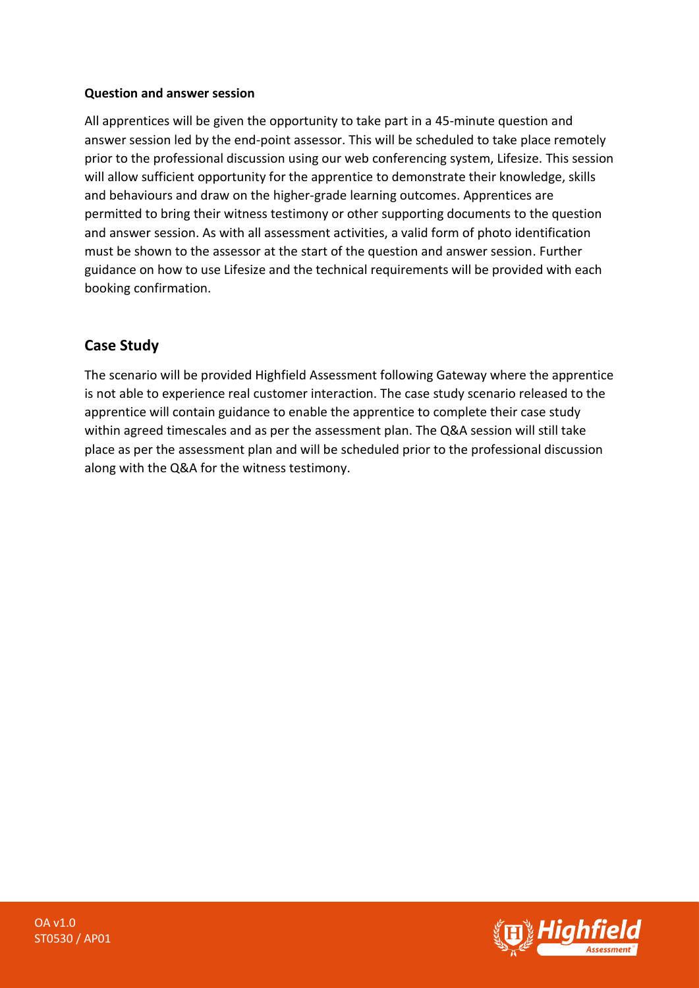#### **Question and answer session**

All apprentices will be given the opportunity to take part in a 45-minute question and answer session led by the end-point assessor. This will be scheduled to take place remotely prior to the professional discussion using our web conferencing system, Lifesize. This session will allow sufficient opportunity for the apprentice to demonstrate their knowledge, skills and behaviours and draw on the higher-grade learning outcomes. Apprentices are permitted to bring their witness testimony or other supporting documents to the question and answer session. As with all assessment activities, a valid form of photo identification must be shown to the assessor at the start of the question and answer session. Further guidance on how to use Lifesize and the technical requirements will be provided with each booking confirmation.

## **Case Study**

The scenario will be provided Highfield Assessment following Gateway where the apprentice is not able to experience real customer interaction. The case study scenario released to the apprentice will contain guidance to enable the apprentice to complete their case study within agreed timescales and as per the assessment plan. The Q&A session will still take place as per the assessment plan and will be scheduled prior to the professional discussion along with the Q&A for the witness testimony.

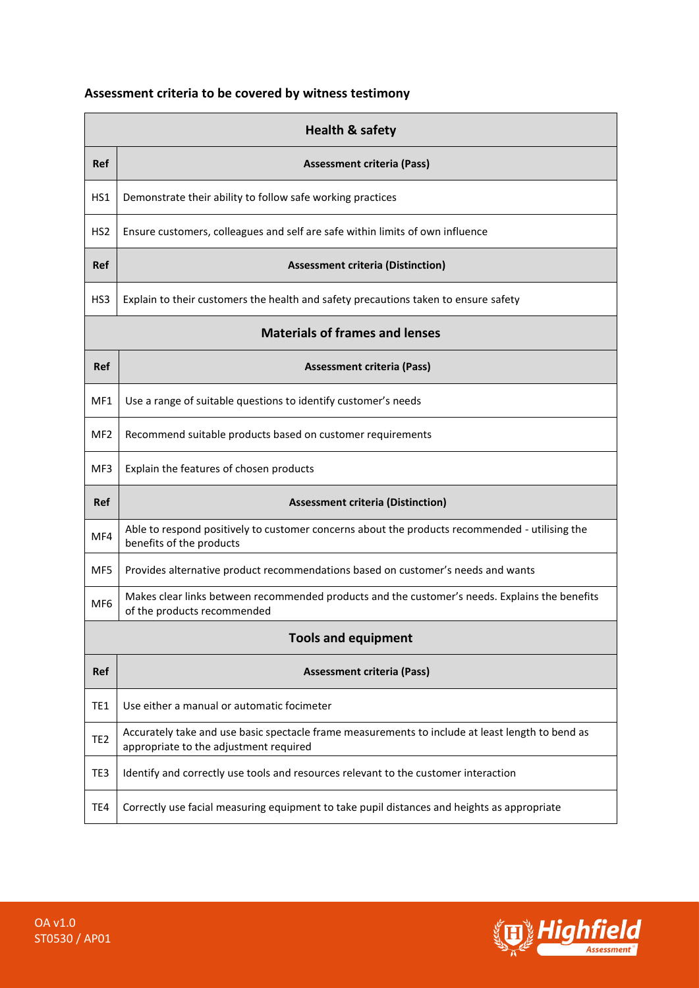## **Assessment criteria to be covered by witness testimony**

| <b>Health &amp; safety</b>            |                                                                                                                                            |  |
|---------------------------------------|--------------------------------------------------------------------------------------------------------------------------------------------|--|
| <b>Ref</b>                            | <b>Assessment criteria (Pass)</b>                                                                                                          |  |
| HS1                                   | Demonstrate their ability to follow safe working practices                                                                                 |  |
| HS <sub>2</sub>                       | Ensure customers, colleagues and self are safe within limits of own influence                                                              |  |
| <b>Ref</b>                            | <b>Assessment criteria (Distinction)</b>                                                                                                   |  |
| HS3                                   | Explain to their customers the health and safety precautions taken to ensure safety                                                        |  |
| <b>Materials of frames and lenses</b> |                                                                                                                                            |  |
| <b>Ref</b>                            | <b>Assessment criteria (Pass)</b>                                                                                                          |  |
| MF1                                   | Use a range of suitable questions to identify customer's needs                                                                             |  |
| MF <sub>2</sub>                       | Recommend suitable products based on customer requirements                                                                                 |  |
| MF3                                   | Explain the features of chosen products                                                                                                    |  |
| <b>Ref</b>                            | <b>Assessment criteria (Distinction)</b>                                                                                                   |  |
| MF4                                   | Able to respond positively to customer concerns about the products recommended - utilising the<br>benefits of the products                 |  |
| MF5                                   | Provides alternative product recommendations based on customer's needs and wants                                                           |  |
| MF <sub>6</sub>                       | Makes clear links between recommended products and the customer's needs. Explains the benefits<br>of the products recommended              |  |
| <b>Tools and equipment</b>            |                                                                                                                                            |  |
| Ref                                   | <b>Assessment criteria (Pass)</b>                                                                                                          |  |
| TE <sub>1</sub>                       | Use either a manual or automatic focimeter                                                                                                 |  |
| TE <sub>2</sub>                       | Accurately take and use basic spectacle frame measurements to include at least length to bend as<br>appropriate to the adjustment required |  |
| TE3                                   | Identify and correctly use tools and resources relevant to the customer interaction                                                        |  |
| TE4                                   | Correctly use facial measuring equipment to take pupil distances and heights as appropriate                                                |  |

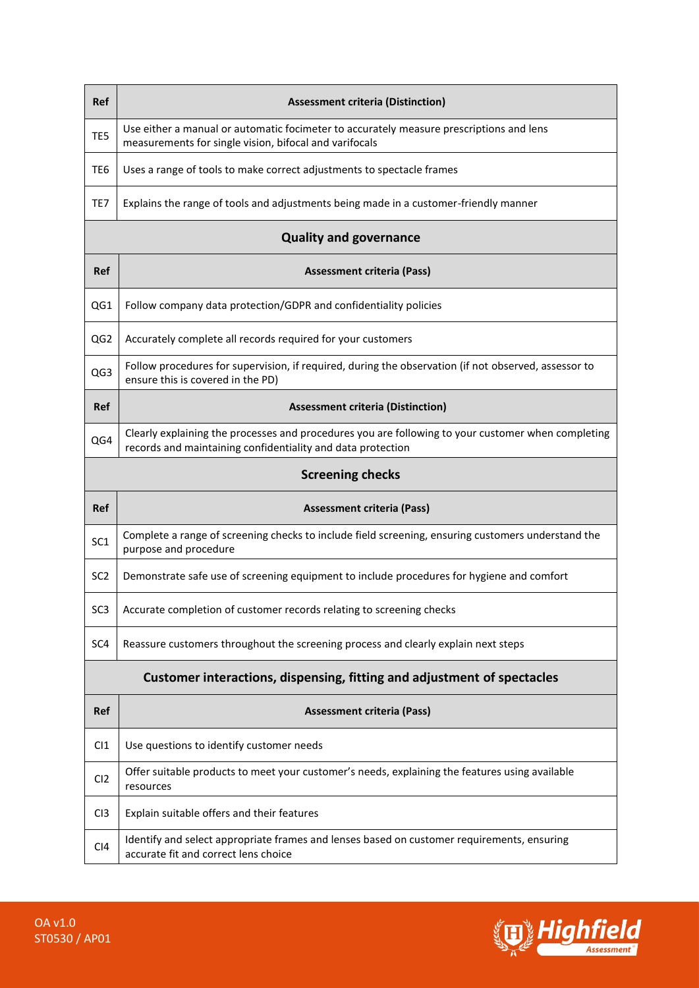| Ref                                                                     | <b>Assessment criteria (Distinction)</b>                                                                                                                          |  |
|-------------------------------------------------------------------------|-------------------------------------------------------------------------------------------------------------------------------------------------------------------|--|
| TE5                                                                     | Use either a manual or automatic focimeter to accurately measure prescriptions and lens<br>measurements for single vision, bifocal and varifocals                 |  |
| TE <sub>6</sub>                                                         | Uses a range of tools to make correct adjustments to spectacle frames                                                                                             |  |
| TE7                                                                     | Explains the range of tools and adjustments being made in a customer-friendly manner                                                                              |  |
| <b>Quality and governance</b>                                           |                                                                                                                                                                   |  |
| <b>Ref</b>                                                              | <b>Assessment criteria (Pass)</b>                                                                                                                                 |  |
| QG1                                                                     | Follow company data protection/GDPR and confidentiality policies                                                                                                  |  |
| QG <sub>2</sub>                                                         | Accurately complete all records required for your customers                                                                                                       |  |
| QG3                                                                     | Follow procedures for supervision, if required, during the observation (if not observed, assessor to<br>ensure this is covered in the PD)                         |  |
| <b>Ref</b>                                                              | <b>Assessment criteria (Distinction)</b>                                                                                                                          |  |
| QG4                                                                     | Clearly explaining the processes and procedures you are following to your customer when completing<br>records and maintaining confidentiality and data protection |  |
| <b>Screening checks</b>                                                 |                                                                                                                                                                   |  |
| Ref                                                                     | <b>Assessment criteria (Pass)</b>                                                                                                                                 |  |
| SC <sub>1</sub>                                                         | Complete a range of screening checks to include field screening, ensuring customers understand the<br>purpose and procedure                                       |  |
| SC <sub>2</sub>                                                         | Demonstrate safe use of screening equipment to include procedures for hygiene and comfort                                                                         |  |
| SC <sub>3</sub>                                                         | Accurate completion of customer records relating to screening checks                                                                                              |  |
| SC <sub>4</sub>                                                         | Reassure customers throughout the screening process and clearly explain next steps                                                                                |  |
| Customer interactions, dispensing, fitting and adjustment of spectacles |                                                                                                                                                                   |  |
| Ref                                                                     | <b>Assessment criteria (Pass)</b>                                                                                                                                 |  |
| C11                                                                     | Use questions to identify customer needs                                                                                                                          |  |
| CI2                                                                     | Offer suitable products to meet your customer's needs, explaining the features using available<br>resources                                                       |  |
| C <sub>13</sub>                                                         | Explain suitable offers and their features                                                                                                                        |  |
| C <sub>14</sub>                                                         | Identify and select appropriate frames and lenses based on customer requirements, ensuring<br>accurate fit and correct lens choice                                |  |

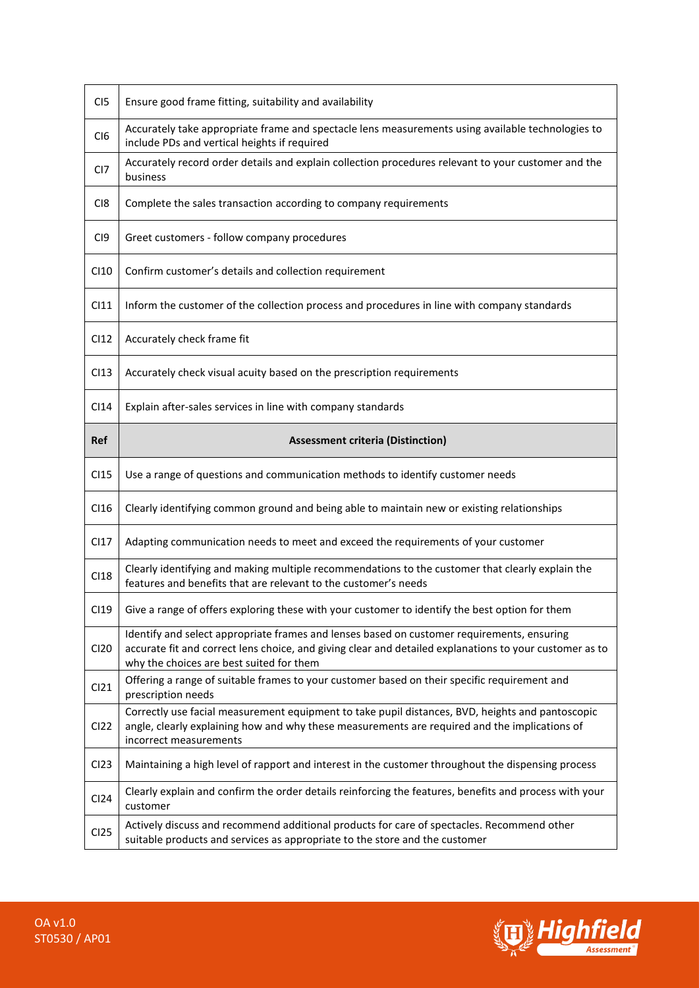| C <sub>I5</sub>  | Ensure good frame fitting, suitability and availability                                                                                                                                                                                           |
|------------------|---------------------------------------------------------------------------------------------------------------------------------------------------------------------------------------------------------------------------------------------------|
| C <sub>I6</sub>  | Accurately take appropriate frame and spectacle lens measurements using available technologies to<br>include PDs and vertical heights if required                                                                                                 |
| CI <sub>7</sub>  | Accurately record order details and explain collection procedures relevant to your customer and the<br>business                                                                                                                                   |
| C <sub>18</sub>  | Complete the sales transaction according to company requirements                                                                                                                                                                                  |
| C <sub>19</sub>  | Greet customers - follow company procedures                                                                                                                                                                                                       |
| CI10             | Confirm customer's details and collection requirement                                                                                                                                                                                             |
| C111             | Inform the customer of the collection process and procedures in line with company standards                                                                                                                                                       |
| C <sub>12</sub>  | Accurately check frame fit                                                                                                                                                                                                                        |
| C113             | Accurately check visual acuity based on the prescription requirements                                                                                                                                                                             |
| C <sub>14</sub>  | Explain after-sales services in line with company standards                                                                                                                                                                                       |
| <b>Ref</b>       | <b>Assessment criteria (Distinction)</b>                                                                                                                                                                                                          |
|                  |                                                                                                                                                                                                                                                   |
| C115             | Use a range of questions and communication methods to identify customer needs                                                                                                                                                                     |
| CI16             | Clearly identifying common ground and being able to maintain new or existing relationships                                                                                                                                                        |
| C117             | Adapting communication needs to meet and exceed the requirements of your customer                                                                                                                                                                 |
| C118             | Clearly identifying and making multiple recommendations to the customer that clearly explain the<br>features and benefits that are relevant to the customer's needs                                                                               |
| C119             | Give a range of offers exploring these with your customer to identify the best option for them                                                                                                                                                    |
| CI20             | Identify and select appropriate frames and lenses based on customer requirements, ensuring<br>accurate fit and correct lens choice, and giving clear and detailed explanations to your customer as to<br>why the choices are best suited for them |
| C121             | Offering a range of suitable frames to your customer based on their specific requirement and<br>prescription needs                                                                                                                                |
| CI <sub>22</sub> | Correctly use facial measurement equipment to take pupil distances, BVD, heights and pantoscopic<br>angle, clearly explaining how and why these measurements are required and the implications of<br>incorrect measurements                       |
| CI23             | Maintaining a high level of rapport and interest in the customer throughout the dispensing process                                                                                                                                                |
| CI24             | Clearly explain and confirm the order details reinforcing the features, benefits and process with your<br>customer                                                                                                                                |